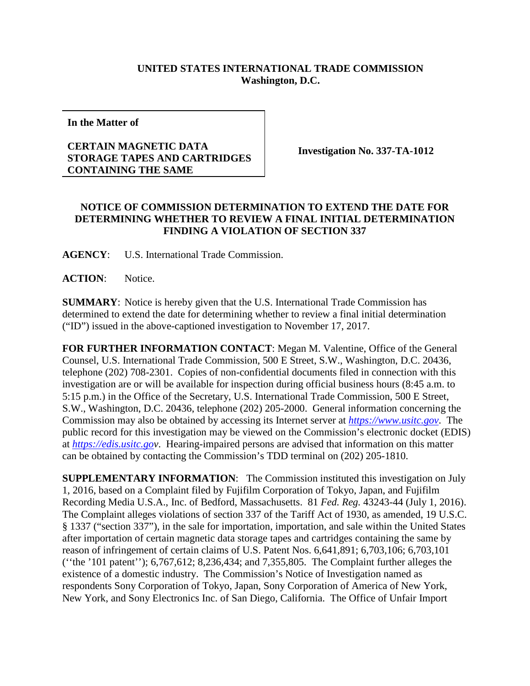## **UNITED STATES INTERNATIONAL TRADE COMMISSION Washington, D.C.**

**In the Matter of**

## **CERTAIN MAGNETIC DATA STORAGE TAPES AND CARTRIDGES CONTAINING THE SAME**

**Investigation No. 337-TA-1012**

## **NOTICE OF COMMISSION DETERMINATION TO EXTEND THE DATE FOR DETERMINING WHETHER TO REVIEW A FINAL INITIAL DETERMINATION FINDING A VIOLATION OF SECTION 337**

**AGENCY**: U.S. International Trade Commission.

**ACTION**: Notice.

**SUMMARY**: Notice is hereby given that the U.S. International Trade Commission has determined to extend the date for determining whether to review a final initial determination ("ID") issued in the above-captioned investigation to November 17, 2017.

**FOR FURTHER INFORMATION CONTACT**: Megan M. Valentine, Office of the General Counsel, U.S. International Trade Commission, 500 E Street, S.W., Washington, D.C. 20436, telephone (202) 708-2301. Copies of non-confidential documents filed in connection with this investigation are or will be available for inspection during official business hours (8:45 a.m. to 5:15 p.m.) in the Office of the Secretary, U.S. International Trade Commission, 500 E Street, S.W., Washington, D.C. 20436, telephone (202) 205-2000. General information concerning the Commission may also be obtained by accessing its Internet server at *[https://www.usitc.gov](https://www.usitc.gov/)*. The public record for this investigation may be viewed on the Commission's electronic docket (EDIS) at *[https://edis.usitc.gov](https://edis.usitc.go/)*. Hearing-impaired persons are advised that information on this matter can be obtained by contacting the Commission's TDD terminal on (202) 205-1810.

**SUPPLEMENTARY INFORMATION**: The Commission instituted this investigation on July 1, 2016, based on a Complaint filed by Fujifilm Corporation of Tokyo, Japan, and Fujifilm Recording Media U.S.A., Inc. of Bedford, Massachusetts. 81 *Fed. Reg.* 43243-44 (July 1, 2016). The Complaint alleges violations of section 337 of the Tariff Act of 1930, as amended, 19 U.S.C. § 1337 ("section 337"), in the sale for importation, importation, and sale within the United States after importation of certain magnetic data storage tapes and cartridges containing the same by reason of infringement of certain claims of U.S. Patent Nos. 6,641,891; 6,703,106; 6,703,101 (''the '101 patent''); 6,767,612; 8,236,434; and 7,355,805. The Complaint further alleges the existence of a domestic industry. The Commission's Notice of Investigation named as respondents Sony Corporation of Tokyo, Japan, Sony Corporation of America of New York, New York, and Sony Electronics Inc. of San Diego, California. The Office of Unfair Import